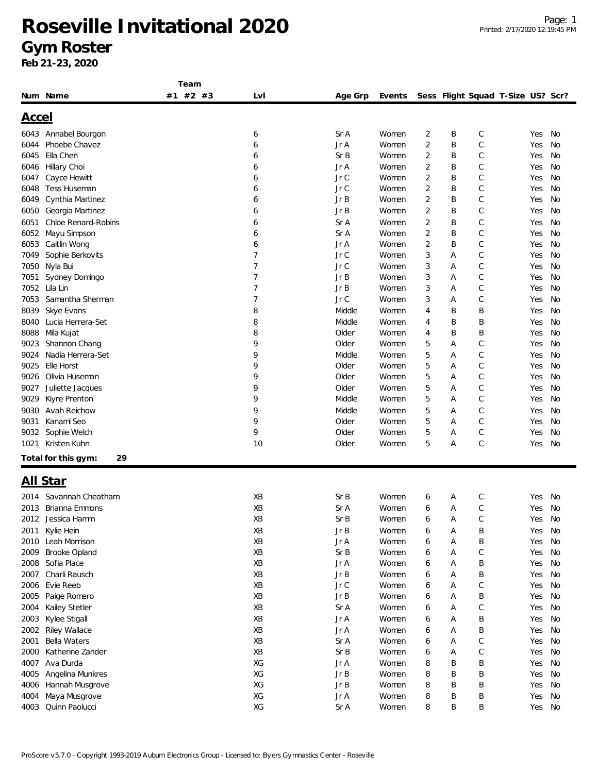#### **Gym Roster**

|              |                           | Team     |                |         |        |                |   |                                   |        |    |
|--------------|---------------------------|----------|----------------|---------|--------|----------------|---|-----------------------------------|--------|----|
|              | Num Name                  | #1 #2 #3 | Lv I           | Age Grp | Events |                |   | Sess Flight Squad T-Size US? Scr? |        |    |
|              |                           |          |                |         |        |                |   |                                   |        |    |
| <u>Accel</u> |                           |          |                |         |        |                |   |                                   |        |    |
| 6043         | Annabel Bourgon           |          | 6              | Sr A    | Women  | 2              | Β | С                                 | Yes    | No |
| 6044         | Phoebe Chavez             |          | 6              | Jr A    | Women  | $\overline{2}$ | B | С                                 | Yes    | No |
| 6045         | Ella Chen                 |          | 6              | Sr B    | Women  | 2              | B | C                                 | Yes    | No |
| 6046         | Hillary Choi              |          | 6              | Jr A    | Women  | 2              | B | С                                 | Yes    | No |
| 6047         | Cayce Hewitt              |          | 6              | Jr C    | Women  | 2              | B | $\mathsf{C}$                      | Yes    | No |
| 6048         | Tess Huseman              |          | 6              | Jr C    | Women  | 2              | B | C                                 | Yes    | No |
| 6049         | Cynthia Martinez          |          | 6              | Jr B    | Women  | $\overline{2}$ | B | C                                 | Yes    | No |
| 6050         | Georgia Martinez          |          | 6              | JrB     | Women  | 2              | Β | C                                 | Yes    | No |
| 6051         | Chloe Renard-Robins       |          | 6              | Sr A    | Women  | 2              | B | C                                 | Yes    | No |
| 6052         | Mayu Simpson              |          | 6              | Sr A    | Women  | 2              | B | C                                 | Yes    | No |
| 6053         | Caitlin Wong              |          | 6              | Jr A    | Women  | 2              | B | С                                 | Yes    | No |
| 7049         | Sophie Berkovits          |          | 7              | Jr C    | Women  | 3              | Α | C                                 | Yes    | No |
| 7050         | Nyla Bui                  |          | $\overline{7}$ | Jr C    | Women  | 3              | Α | С                                 | Yes    | No |
| 7051         | Sydney Domingo            |          | $\overline{7}$ | JrB     | Women  | 3              | Α | $\mathsf{C}$                      | Yes    | No |
| 7052         | Lila Lin                  |          | 7              | JrB     | Women  | 3              | A | С                                 | Yes    | No |
| 7053         | Samantha Sherman          |          | $\overline{7}$ | Jr C    | Women  | 3              | A | C                                 | Yes    | No |
| 8039         | Skye Evans                |          | 8              | Middle  | Women  | 4              | B | Β                                 | Yes    | No |
| 8040         | Lucia Herrera-Set         |          | 8              | Middle  | Women  | 4              | B | Β                                 | Yes    | No |
| 8088         | Mila Kujat                |          | 8              | Older   | Women  | 4              | B | Β                                 | Yes    | No |
| 9023         | Shannon Chang             |          | 9              | Older   | Women  | 5              | A | C                                 | Yes    | No |
| 9024         | Nadia Herrera-Set         |          | 9              | Middle  | Women  | 5              | Α | C                                 | Yes    | No |
| 9025         | Elle Horst                |          | 9              | Older   | Women  | 5              | Α | С                                 | Yes    | No |
| 9026         | Olivia Huseman            |          | 9              | Older   | Women  | 5              | A | $\mathsf{C}$                      | Yes    | No |
| 9027         | Juliette Jacques          |          | 9              | Older   | Women  | 5              | A | С                                 | Yes    | No |
| 9029         | Kiyre Prenton             |          | 9              | Middle  | Women  | 5              | A | C                                 | Yes    | No |
| 9030         | Avah Reichow              |          | 9              | Middle  | Women  | 5              | A | C                                 | Yes    | No |
| 9031         | Kanami Seo                |          | 9              | Older   | Women  | 5              | Α | С                                 | Yes    | No |
| 9032         | Sophie Welch              |          | 9              | Older   | Women  | 5              | Α | C                                 | Yes    | No |
| 1021         | Kristen Kuhn              |          | 10             | Older   | Women  | 5              | Α | C                                 | Yes    | No |
|              |                           |          |                |         |        |                |   |                                   |        |    |
|              | 29<br>Total for this gym: |          |                |         |        |                |   |                                   |        |    |
|              | <u>All Star</u>           |          |                |         |        |                |   |                                   |        |    |
|              |                           |          |                |         |        |                |   |                                   |        |    |
| 2014         | Savannah Cheatham         |          | XB             | Sr B    | Women  | 6              | Α | С                                 | Yes    | No |
|              | 2013 Brianna Emmons       |          | XB             | Sr A    | Women  | 6              | Α | C                                 | Yes    | No |
| 2012         | Jessica Hamm              |          | XВ             | Sr B    | Women  | 6              | Α | С                                 | Yes    | No |
| 2011         | Kylie Hein                |          | XB             | JrB     | Women  | 6              | Α | Β                                 | Yes    | No |
| 2010         | Leah Morrison             |          | XB             | Jr A    | Women  | 6              | Α | Β                                 | Yes    | No |
| 2009         | Brooke Opland             |          | XB             | Sr B    | Women  | 6              | Α | $\mathsf C$                       | Yes    | No |
| 2008         | Sofia Place               |          | XB             | Jr A    | Women  | 6              | Α | Β                                 | Yes    | No |
| 2007         | Charli Rausch             |          | XB             | JrB     | Women  | 6              | Α | Β                                 | Yes    | No |
| 2006         | Evie Reeb                 |          | XB             | Jr C    | Women  | 6              | Α | С                                 | Yes    | No |
| 2005         | Paige Romero              |          | XB             | JrB     | Women  | 6              | Α | Β                                 | Yes    | No |
| 2004         | Kailey Stetler            |          | XB             | Sr A    | Women  | 6              | Α | С                                 | Yes    | No |
| 2003         | Kylee Stigall             |          | XB             | Jr A    | Women  | 6              | Α | Β                                 | Yes    | No |
| 2002         | Riley Wallace             |          | XB             | Jr A    | Women  | 6              | Α | B                                 | Yes    | No |
| 2001         | Bella Waters              |          | XB             | Sr A    | Women  | 6              | Α | С                                 | Yes    | No |
| 2000         | Katherine Zander          |          | XB             | Sr B    | Women  | 6              | Α | $\mathsf C$                       | Yes    | No |
| 4007         | Ava Durda                 |          | XG             | Jr A    | Women  | 8              | B | B                                 | Yes    | No |
| 4005         | Angelina Munkres          |          | XG             | JrB     | Women  | 8              | B | Β                                 | Yes    | No |
| 4006         | Hannah Musgrove           |          | XG             | JrB     | Women  | 8              | B | Β                                 | Yes    | No |
| 4004         | Maya Musgrove             |          | XG             | Jr A    | Women  | 8              | Β | Β                                 | Yes    | No |
| 4003         | Quinn Paolucci            |          | XG             | Sr A    | Women  | 8              | Β | Β                                 | Yes No |    |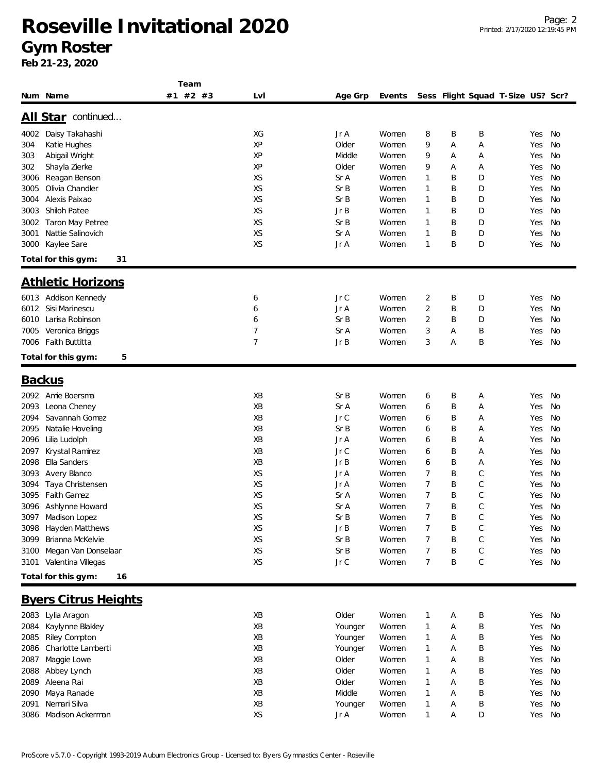**Feb 21-23, 2020**

|                             | Team     |     |                            |        |                |   |                                   |        |    |
|-----------------------------|----------|-----|----------------------------|--------|----------------|---|-----------------------------------|--------|----|
| Num Name                    | #1 #2 #3 | Lvl | Age Grp                    | Events |                |   | Sess Flight Squad T-Size US? Scr? |        |    |
|                             |          |     |                            |        |                |   |                                   |        |    |
| All Star continued          |          |     |                            |        |                |   |                                   |        |    |
| 4002<br>Daisy Takahashi     |          | XG  | Jr A                       | Women  | 8              | B | Β                                 | Yes    | No |
| Katie Hughes<br>304         |          | XP  | Older                      | Women  | 9              | Α | Α                                 | Yes    | No |
| Abigail Wright<br>303       |          | XP  | Middle                     | Women  | 9              | Α | Α                                 | Yes    | No |
| Shayla Zierke<br>302        |          | ΧP  | Older                      | Women  | 9              | Α | Α                                 | Yes    | No |
| Reagan Benson<br>3006       |          | XS  | Sr A                       | Women  | 1              | B | D                                 | Yes    | No |
| Olivia Chandler<br>3005     |          | XS  | SrB                        | Women  | 1              | B | D                                 | Yes    | No |
| Alexis Paixao<br>3004       |          | XS  | SrB                        | Women  | 1              | B | D                                 | Yes    | No |
| Shiloh Patee<br>3003        |          | XS  | Jr B                       | Women  | 1              | B | D                                 | Yes    | No |
| 3002<br>Taron May Petree    |          | XS  | SrB                        | Women  | 1              | Β | D                                 | Yes    | No |
| Nattie Salinovich<br>3001   |          | XS  | Sr A                       | Women  | 1              | B | D                                 | Yes    | No |
| Kaylee Sare<br>3000         |          | XS  | Jr A                       | Women  | $\mathbf{1}$   | B | D                                 | Yes    | No |
|                             |          |     |                            |        |                |   |                                   |        |    |
| Total for this gym:<br>31   |          |     |                            |        |                |   |                                   |        |    |
| <b>Athletic Horizons</b>    |          |     |                            |        |                |   |                                   |        |    |
|                             |          |     |                            |        |                |   |                                   |        |    |
| 6013 Addison Kennedy        |          | 6   | $JrC$                      | Women  | 2              | B | D                                 | Yes    | No |
| 6012<br>Sisi Marinescu      |          | 6   | Jr A                       | Women  | $\overline{c}$ | B | D                                 | Yes    | No |
| Larisa Robinson<br>6010     |          | 6   | SrB                        | Women  | 2              | Β | D                                 | Yes    | No |
| 7005<br>Veronica Briggs     |          | 7   | Sr A                       | Women  | 3              | Α | Β                                 | Yes    | No |
| Faith Buttitta<br>7006      |          | 7   | Jr B                       | Women  | 3              | А | Β                                 | Yes    | No |
| Total for this gym:<br>5    |          |     |                            |        |                |   |                                   |        |    |
|                             |          |     |                            |        |                |   |                                   |        |    |
| <b>Backus</b>               |          |     |                            |        |                |   |                                   |        |    |
|                             |          |     |                            |        |                |   |                                   |        |    |
| 2092<br>Amie Boersma        |          | XB  | SrB                        | Women  | 6              | Β | Α                                 | Yes    | No |
| 2093<br>Leona Cheney        |          | XB  | Sr A                       | Women  | 6              | B | Α                                 | Yes    | No |
| Savannah Gomez<br>2094      |          | XB  | Jr C                       | Women  | 6              | B | Α                                 | Yes    | No |
| Natalie Hoveling<br>2095    |          | XB  | SrB                        | Women  | 6              | Β | Α                                 | Yes    | No |
| 2096<br>Lilia Ludolph       |          | XB  | Jr A                       | Women  | 6              | B | Α                                 | Yes    | No |
| Krystal Ramirez<br>2097     |          | XB  | Jr C                       | Women  | 6              | B | Α                                 | Yes    | No |
| Ella Sanders<br>2098        |          | XB  | Jr B                       | Women  | 6              | B | Α                                 | Yes    | No |
| Avery Blanco<br>3093        |          | XS  | Jr A                       | Women  | 7              | B | C                                 | Yes    | No |
| Taya Christensen<br>3094    |          | XS  | Jr A                       | Women  | 7              | B | C                                 | Yes    | No |
| Faith Gamez<br>3095         |          | XS  | Sr A                       | Women  | 7              | B | C                                 | Yes    | No |
| 3096<br>Ashlynne Howard     |          | XS  | Sr A                       | Women  | 7              | B | С                                 | Yes    | No |
| 3097 Madison Lopez          |          | XS  | SrB                        | Women  | 7              | B | C                                 | Yes    | No |
| 3098 Hayden Matthews        |          | XS  | Jr B                       | Women  | 7              | Β | $\mathsf C$                       | Yes    | No |
| Brianna McKelvie<br>3099    |          | XS  | Sr B                       | Women  | 7              | Β | C                                 | Yes    | No |
| Megan Van Donselaar<br>3100 |          | XS  | Sr B                       | Women  | 7              | B | C                                 | Yes    | No |
| 3101 Valentina Villegas     |          | XS  | $\mathsf{Jr} \ \mathsf{C}$ | Women  | 7              | Β | C                                 | Yes    | No |
|                             |          |     |                            |        |                |   |                                   |        |    |
| Total for this gym:<br>16   |          |     |                            |        |                |   |                                   |        |    |
| <b>Byers Citrus Heights</b> |          |     |                            |        |                |   |                                   |        |    |
|                             |          |     |                            |        |                |   |                                   |        |    |
| 2083 Lylia Aragon           |          | XB  | Older                      | Women  | 1              | Α | Β                                 | Yes    | No |
| Kaylynne Blakley<br>2084    |          | XB  | Younger                    | Women  | 1              | Α | Β                                 | Yes    | No |
| Riley Compton<br>2085       |          | XB  | Younger                    | Women  | 1              | Α | Β                                 | Yes    | No |
| 2086 Charlotte Lamberti     |          | XB  | Younger                    | Women  | 1              | А | Β                                 | Yes    | No |
| Maggie Lowe<br>2087         |          | XB  | Older                      | Women  | 1              | Α | Β                                 | Yes    | No |
| 2088 Abbey Lynch            |          | XB  | Older                      | Women  | 1              | Α | Β                                 | Yes No |    |

2089 Aleena Rai **XB** XB Older Women 1 A B Yes No Maya Ranade XB Middle Women 1 A B Yes No 2091 Nemari Silva Xero (1993) Summari Silva XB Younger Women Now Herman Handburger Women National Andrew Messi Madison Ackerman XS Jr A Women 1 A D Yes No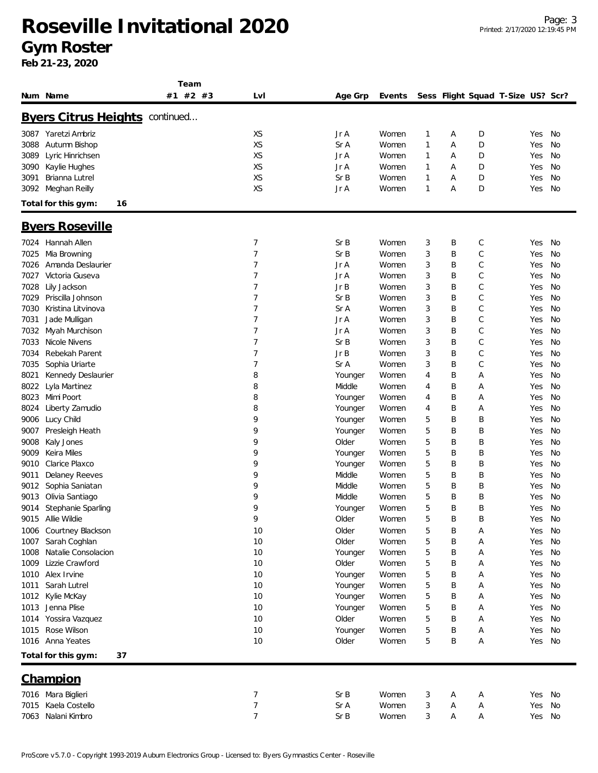### **Roseville Invitational 2020 Gym Roster**

**Team**

|      | Num Name                              | #2 #3<br>#1 | LvI            | Age Grp | Events |              |   | Sess Flight Squad T-Size US? Scr? |        |     |
|------|---------------------------------------|-------------|----------------|---------|--------|--------------|---|-----------------------------------|--------|-----|
|      | <b>Byers Citrus Heights continued</b> |             |                |         |        |              |   |                                   |        |     |
|      | 3087 Yaretzi Ambriz                   |             | XS             | Jr A    | Women  | $\mathbf{1}$ | Α | D                                 | Yes    | No  |
| 3088 | Autumn Bishop                         |             | XS             | Sr A    | Women  | $\mathbf{1}$ | Α | D                                 | Yes    | No  |
| 3089 | Lyric Hinrichsen                      |             | XS             | Jr A    | Women  | $\mathbf{1}$ | Α | D                                 | Yes    | No  |
| 3090 | Kaylie Hughes                         |             | XS             | Jr A    | Women  | $\mathbf{1}$ | Α | D                                 | Yes    | No  |
| 3091 | Brianna Lutrel                        |             | XS             | Sr B    | Women  | 1            | Α | D                                 | Yes    | No  |
| 3092 | Meghan Reilly                         |             | XS             | Jr A    | Women  | $\mathbf{1}$ | Α | D                                 | Yes    | No  |
|      | Total for this gym:<br>16             |             |                |         |        |              |   |                                   |        |     |
|      | <b>Byers Roseville</b>                |             |                |         |        |              |   |                                   |        |     |
| 7024 | Hannah Allen                          |             | 7              | Sr B    | Women  | 3            | Β | С                                 | Yes    | No  |
| 7025 | Mia Browning                          |             | $\overline{7}$ | Sr B    | Women  | 3            | B | C                                 | Yes    | No  |
| 7026 | Amanda Deslaurier                     |             | 7              | Jr A    | Women  | 3            | B | С                                 | Yes    | No  |
| 7027 | Victoria Guseva                       |             | $\overline{7}$ | Jr A    | Women  | 3            | B | С                                 | Yes    | No  |
| 7028 | Lily Jackson                          |             | $\overline{7}$ | JrB     | Women  | 3            | B | С                                 | Yes    | No  |
| 7029 | Priscilla Johnson                     |             | $\overline{7}$ | Sr B    | Women  | 3            | B | $\mathsf C$                       | Yes    | No  |
| 7030 | Kristina Litvinova                    |             | $\overline{7}$ | Sr A    | Women  | 3            | B | С                                 | Yes    | No  |
| 7031 | Jade Mulligan                         |             | 7              | Jr A    | Women  | 3            | B | С                                 | Yes    | No  |
| 7032 | Myah Murchison                        |             | 7              | Jr A    | Women  | 3            | B | С                                 | Yes    | No  |
| 7033 | Nicole Nivens                         |             | 7              | Sr B    | Women  | 3            | B | С                                 | Yes    | No  |
| 7034 | Rebekah Parent                        |             | 7              | Jr B    | Women  | 3            | B | C                                 | Yes    | No  |
| 7035 | Sophia Uriarte                        |             | 7              | Sr A    | Women  | 3            | B | С                                 | Yes    | No  |
| 8021 | Kennedy Deslaurier                    |             | 8              | Younger | Women  | 4            | B | Α                                 | Yes    | No  |
| 8022 | Lyla Martinez                         |             | 8              | Middle  | Women  | 4            | B | Α                                 | Yes    | No  |
| 8023 | Mimi Poort                            |             | 8              | Younger | Women  | 4            | B | Α                                 | Yes    | No  |
| 8024 | Liberty Zamudio                       |             | 8              | Younger | Women  | 4            | Β | Α                                 | Yes    | No  |
| 9006 | Lucy Child                            |             | 9              | Younger | Women  | 5            | B | Β                                 | Yes    | No  |
| 9007 | Presleigh Heath                       |             | 9              | Younger | Women  | 5            | B | Β                                 | Yes    | No  |
| 9008 | Kaly Jones                            |             | 9              | Older   | Women  | 5            | B | Β                                 | Yes    | No  |
| 9009 | Keira Miles                           |             | 9              | Younger | Women  | 5            | B | Β                                 | Yes    | No  |
| 9010 | Clarice Plaxco                        |             | 9              | Younger | Women  | 5            | B | Β                                 | Yes    | No  |
| 9011 | Delaney Reeves                        |             | 9              | Middle  | Women  | 5            | B | Β                                 | Yes    | No  |
| 9012 | Sophia Saniatan                       |             | 9              | Middle  | Women  | 5            | B | Β                                 | Yes    | No  |
| 9013 | Olivia Santiago                       |             | 9              | Middle  | Women  | 5            | B | Β                                 | Yes    | No  |
| 9014 | Stephanie Sparling                    |             | 9              | Younger | Women  | 5            | Β | Β                                 | Yes    | No  |
|      | 9015 Allie Wildie                     |             | 9              | Older   | Women  | 5            | B | Β                                 | Yes    | No  |
|      | 1006 Courtney Blackson                |             | 10             | Older   | Women  | 5            | B | Α                                 | Yes No |     |
| 1007 | Sarah Coghlan                         |             | 10             | Older   | Women  | 5            | Β | Α                                 | Yes    | No  |
| 1008 | Natalie Consolacion                   |             | 10             | Younger | Women  | 5            | B | Α                                 | Yes    | No  |
| 1009 | Lizzie Crawford                       |             | 10             | Older   | Women  | 5            | B | Α                                 | Yes    | No  |
| 1010 | Alex Irvine                           |             | 10             | Younger | Women  | 5            | Β | Α                                 | Yes    | No  |
| 1011 | Sarah Lutrel                          |             | 10             | Younger | Women  | 5            | B | Α                                 | Yes    | No  |
| 1012 | Kylie McKay                           |             | 10             | Younger | Women  | 5            | B | Α                                 | Yes    | No  |
|      | 1013 Jenna Plise                      |             | 10             | Younger | Women  | 5            | B | Α                                 | Yes    | No  |
|      | 1014 Yossira Vazquez                  |             | 10             | Older   | Women  | 5            | B | Α                                 | Yes    | No  |
| 1015 | Rose Wilson                           |             | 10             | Younger | Women  | 5            | B | Α                                 | Yes    | No  |
|      | 1016 Anna Yeates                      |             | 10             | Older   | Women  | 5            | B | Α                                 | Yes    | No. |
|      | Total for this gym:<br>37             |             |                |         |        |              |   |                                   |        |     |
|      | <b>Champion</b>                       |             |                |         |        |              |   |                                   |        |     |
|      | 7016 Mara Biglieri                    |             | 7              | Sr B    | Women  | 3            | Α | Α                                 | Yes    | No  |
| 7015 | Kaela Costello                        |             | 7              | Sr A    | Women  | 3            | А | Α                                 | Yes    | No  |
| 7063 | Nalani Kimbro                         |             | 7              | Sr B    | Women  | 3            | Α | Α                                 | Yes No |     |
|      |                                       |             |                |         |        |              |   |                                   |        |     |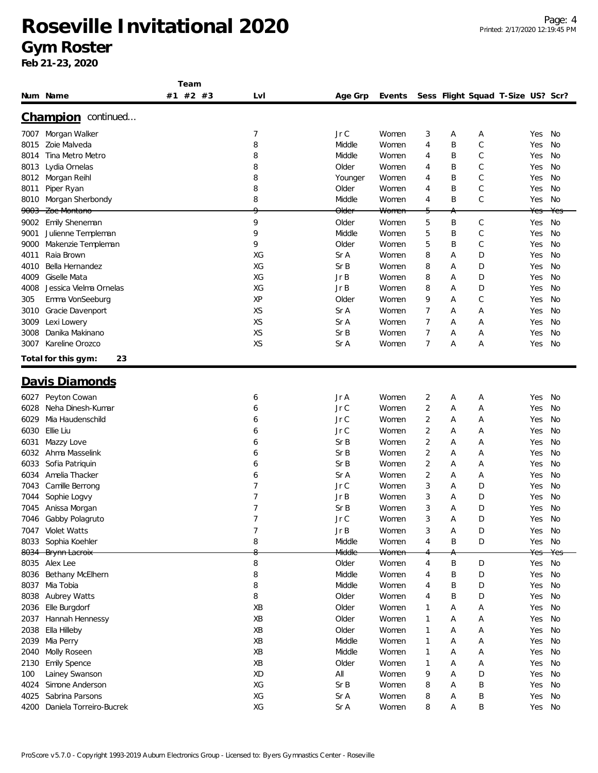**Team**

|      | Num Name                  | #1 #2 #3 | LvI       | Age Grp          | Events           |                |   |   | Sess Flight Squad T-Size US? Scr? |     |     |
|------|---------------------------|----------|-----------|------------------|------------------|----------------|---|---|-----------------------------------|-----|-----|
|      | Champion continued        |          |           |                  |                  |                |   |   |                                   |     |     |
| 7007 | Morgan Walker             |          | 7         | Jr C             | Women            | 3              | Α | Α |                                   | Yes | No  |
| 8015 | Zoie Malveda              |          | 8         | Middle           | Women            | 4              | B | C |                                   | Yes | No  |
| 8014 | Tina Metro Metro          |          | 8         | Middle           | Women            | 4              | Β | С |                                   | Yes | No  |
| 8013 | Lydia Ornelas             |          | 8         | Older            | Women            | 4              | Β | С |                                   | Yes | No  |
| 8012 | Morgan Reihl              |          | 8         | Younger          | Women            | 4              | Β | С |                                   | Yes | No  |
| 8011 | Piper Ryan                |          | 8         | Older            | Women            | 4              | B | C |                                   | Yes | No  |
| 8010 | Morgan Sherbondy          |          | 8         | Middle           | Women            | 4              | B | C |                                   | Yes | No  |
|      | 9003 Zoe Montano          |          | $\Omega$  | <del>Older</del> | <del>Women</del> | 5              | А |   |                                   | Yes | Yes |
| 9002 | Emily Sheneman            |          | 9         | Older            | Women            | 5              | B | С |                                   | Yes | No  |
| 9001 | Julienne Templeman        |          | 9         | Middle           | Women            | 5              | Β | С |                                   | Yes | No  |
| 9000 | Makenzie Templeman        |          | 9         | Older            | Women            | 5              | B | С |                                   | Yes | No  |
| 4011 | Raia Brown                |          | XG        | Sr A             | Women            | 8              | Α | D |                                   | Yes | No  |
| 4010 | Bella Hernandez           |          | XG        | SrB              | Women            | 8              | Α | D |                                   | Yes | No  |
| 4009 | Giselle Mata              |          | XG        | Jr B             | Women            | 8              | Α | D |                                   | Yes | No  |
| 4008 | Jessica Vielma Ornelas    |          | XG        | Jr B             | Women            | 8              | Α | D |                                   | Yes | No  |
|      |                           |          |           |                  |                  |                |   |   |                                   |     |     |
| 305  | Emma VonSeeburg           |          | XP        | Older            | Women            | 9              | Α | С |                                   | Yes | No  |
| 3010 | Gracie Davenport          |          | XS        | Sr A             | Women            | 7              | Α | Α |                                   | Yes | No  |
| 3009 | Lexi Lowery               |          | <b>XS</b> | Sr A             | Women            | 7              | Α | Α |                                   | Yes | No  |
| 3008 | Danika Makinano           |          | XS        | SrB              | Women            | 7              | Α | Α |                                   | Yes | No  |
| 3007 | Kareline Orozco           |          | XS        | Sr A             | Women            | 7              | Α | Α |                                   | Yes | No  |
|      | Total for this gym:<br>23 |          |           |                  |                  |                |   |   |                                   |     |     |
|      | <u>Davis Diamonds</u>     |          |           |                  |                  |                |   |   |                                   |     |     |
| 6027 | Peyton Cowan              |          | 6         | Jr A             | Women            | 2              | А | Α |                                   | Yes | No  |
| 6028 | Neha Dinesh-Kumar         |          | 6         | Jr C             | Women            | 2              | Α | Α |                                   | Yes | No  |
| 6029 | Mia Haudenschild          |          | 6         | Jr C             | Women            | 2              | Α | Α |                                   | Yes | No  |
| 6030 | Ellie Liu                 |          | 6         | Jr C             | Women            | 2              | Α | Α |                                   | Yes | No  |
| 6031 | Mazzy Love                |          | 6         | SrB              | Women            | 2              | Α | Α |                                   | Yes | No  |
| 6032 | Ahma Masselink            |          | 6         | SrB              | Women            | 2              | Α | Α |                                   | Yes | No  |
| 6033 | Sofia Patriquin           |          | 6         | Sr B             | Women            | 2              | Α | Α |                                   | Yes | No  |
| 6034 | Amelia Thacker            |          | 6         | Sr A             | Women            | $\overline{2}$ | Α | Α |                                   | Yes | No  |
| 7043 | Camille Berrong           |          | 7         | Jr C             | Women            | 3              | Α | D |                                   | Yes | No  |
| 7044 | Sophie Logvy              |          | 7         | Jr B             | Women            | 3              | Α | D |                                   | Yes | No  |
| 7045 | Anissa Morgan             |          | 7         | SrB              | Women            | 3              | Α | D |                                   | Yes | No  |
|      |                           |          | 7         | Jr C             | Women            | 3              | Α | D |                                   |     | No  |
| 7046 | Gabby Polagruto           |          |           |                  |                  |                |   |   |                                   | Yes |     |
| 7047 | Violet Watts              |          |           | JrB              | Women            | 3              | Α | D |                                   | Yes | No  |
| 8033 | Sophia Koehler            |          | 8<br>8    | Middle           | Women            | $\overline{4}$ | Β | D |                                   | Yes | No  |
|      | 8034 Brynn Lacroix        |          |           | Middle           | Women            |                | Α |   |                                   | Yes | Yes |
| 8035 | Alex Lee                  |          | 8         | Older            | Women            | 4              | Β | D |                                   | Yes | No  |
| 8036 | Bethany McElhern          |          | 8         | Middle           | Women            | 4              | B | D |                                   | Yes | No  |
| 8037 | Mia Tobia                 |          | 8         | Middle           | Women            | 4              | B | D |                                   | Yes | No  |
| 8038 | Aubrey Watts              |          | 8         | Older            | Women            | 4              | B | D |                                   | Yes | No  |
| 2036 | Elle Burgdorf             |          | XB        | Older            | Women            | 1              | Α | A |                                   | Yes | No  |
| 2037 | Hannah Hennessy           |          | XB        | Older            | Women            | 1              | Α | Α |                                   | Yes | No  |
| 2038 | Ella Hilleby              |          | XB        | Older            | Women            | $\mathbf{1}$   | А | Α |                                   | Yes | No  |
| 2039 | Mia Perry                 |          | XB        | Middle           | Women            | 1              | Α | Α |                                   | Yes | No  |
| 2040 | Molly Roseen              |          | XB        | Middle           | Women            | 1              | Α | Α |                                   | Yes | No  |
| 2130 | <b>Emily Spence</b>       |          | XB        | Older            | Women            | $\mathbf{1}$   | Α | Α |                                   | Yes | No  |
| 100  | Lainey Swanson            |          | XD        | All              | Women            | 9              | A | D |                                   | Yes | No  |
| 4024 | Simone Anderson           |          | XG        | Sr B             | Women            | 8              | Α | Β |                                   | Yes | No  |
| 4025 | Sabrina Parsons           |          | XG        | Sr A             | Women            | 8              | А | Β |                                   | Yes | No  |
| 4200 | Daniela Torreiro-Bucrek   |          | XG        | Sr A             | Women            | 8              | Α | Β |                                   | Yes | No  |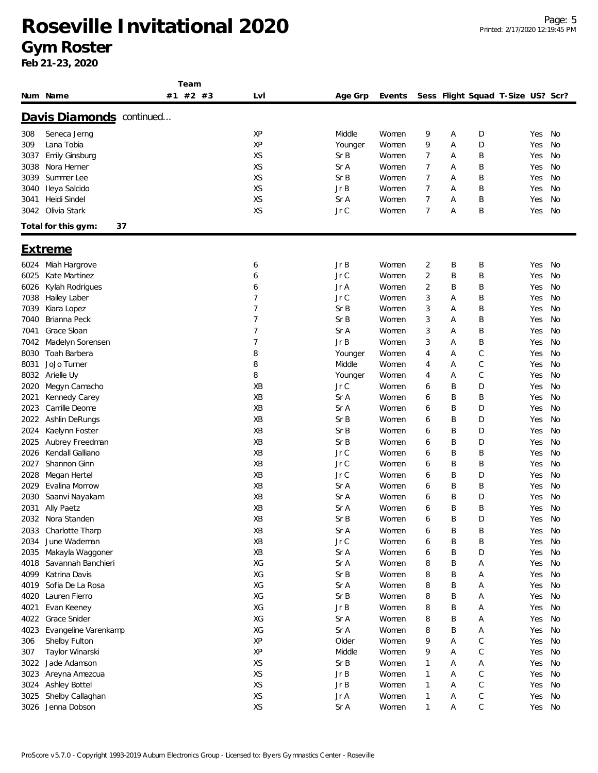**Team**

|      | Num Name                  | #2 #3<br>#1 | Lvl | Age Grp | Events |                |   |   | Sess Flight Squad T-Size US? Scr? |        |           |
|------|---------------------------|-------------|-----|---------|--------|----------------|---|---|-----------------------------------|--------|-----------|
|      | Davis Diamonds continued  |             |     |         |        |                |   |   |                                   |        |           |
| 308  | Seneca Jerng              |             | XP  | Middle  | Women  | 9              | Α | D |                                   | Yes    | No        |
| 309  | Lana Tobia                |             | XP  | Younger | Women  | 9              | Α | D |                                   | Yes    | No        |
| 3037 | <b>Emily Ginsburg</b>     |             | XS  | SrB     | Women  | 7              | Α | Β |                                   | Yes    | No        |
| 3038 | Nora Herner               |             | XS  | Sr A    | Women  | 7              | Α | Β |                                   | Yes    | No        |
| 3039 | Summer Lee                |             | XS  | Sr B    | Women  | 7              | Α | B |                                   | Yes    | No        |
| 3040 |                           |             | XS  | Jr B    | Women  | 7              |   | Β |                                   | Yes    | No        |
|      | Ileya Salcido             |             | XS  |         |        | $\overline{7}$ | Α |   |                                   |        |           |
| 3041 | Heidi Sindel              |             |     | Sr A    | Women  |                | Α | Β |                                   | Yes    | No        |
| 3042 | Olivia Stark              |             | XS  | Jr C    | Women  | 7              | Α | B |                                   | Yes    | No        |
|      | 37<br>Total for this gym: |             |     |         |        |                |   |   |                                   |        |           |
|      | <u>Extreme</u>            |             |     |         |        |                |   |   |                                   |        |           |
| 6024 | Miah Hargrove             |             | 6   | Jr B    | Women  | 2              | Β | Β |                                   | Yes    | No        |
| 6025 | Kate Martinez             |             | 6   | Jr C    | Women  | 2              | Β | Β |                                   | Yes    | No        |
| 6026 | Kylah Rodrigues           |             | 6   | Jr A    | Women  | 2              | Β | Β |                                   | Yes    | No        |
| 7038 | Hailey Laber              |             | 7   | Jr C    | Women  | 3              | Α | Β |                                   | Yes    | No        |
| 7039 | Kiara Lopez               |             | 7   | Sr B    | Women  | 3              | Α | B |                                   | Yes    | No        |
| 7040 | Brianna Peck              |             | 7   | Sr B    | Women  | 3              | Α | B |                                   | Yes    | No        |
| 7041 | Grace Sloan               |             | 7   | Sr A    | Women  | 3              | Α | Β |                                   | Yes    | No        |
| 7042 | Madelyn Sorensen          |             | 7   | Jr B    | Women  | 3              | A | Β |                                   | Yes    | No        |
| 8030 | Toah Barbera              |             | 8   | Younger | Women  | 4              | Α | C |                                   | Yes    | No        |
| 8031 | JoJo Turner               |             | 8   | Middle  | Women  | 4              | Α | С |                                   | Yes    | No        |
| 8032 | Arielle Uy                |             | 8   | Younger | Women  | 4              | Α | С |                                   | Yes    | No        |
| 2020 | Megyn Camacho             |             | XB  | Jr C    | Women  | 6              | Β | D |                                   | Yes    | No        |
| 2021 | Kennedy Carey             |             | XB  | Sr A    | Women  | 6              | B | Β |                                   | Yes    | No        |
| 2023 | Camille Deome             |             | XB  | Sr A    | Women  | 6              | B | D |                                   | Yes    | No        |
| 2022 | Ashlin DeRungs            |             | XB  | Sr B    | Women  | 6              | Β | D |                                   | Yes    | No        |
|      |                           |             | XB  | Sr B    |        |                |   |   |                                   |        |           |
| 2024 | Kaelynn Foster            |             |     |         | Women  | 6              | B | D |                                   | Yes    | No        |
| 2025 | Aubrey Freedman           |             | XB  | Sr B    | Women  | 6              | B | D |                                   | Yes    | <b>No</b> |
| 2026 | Kendall Galliano          |             | XB  | Jr C    | Women  | 6              | B | Β |                                   | Yes    | No        |
| 2027 | Shannon Ginn              |             | XB  | Jr C    | Women  | 6              | B | B |                                   | Yes    | No        |
| 2028 | Megan Hertel              |             | XB  | Jr C    | Women  | 6              | B | D |                                   | Yes    | No        |
| 2029 | Evalina Morrow            |             | XB  | Sr A    | Women  | 6              | Β | Β |                                   | Yes    | No        |
| 2030 | Saanvi Nayakam            |             | XB  | Sr A    | Women  | 6              | B | D |                                   | Yes    | No        |
| 2031 | Ally Paetz                |             | XB  | Sr A    | Women  | 6              | B | Β |                                   | Yes    | <b>No</b> |
| 2032 | Nora Standen              |             | XB  | Sr B    | Women  | 6              | B | D |                                   | Yes    | No        |
| 2033 | Charlotte Tharp           |             | XB  | Sr A    | Women  | 6              | B | Β |                                   | Yes    | No        |
| 2034 | June Wademan              |             | XB  | Jr C    | Women  | 6              | Β | Β |                                   | Yes    | No        |
| 2035 | Makayla Waggoner          |             | XB  | Sr A    | Women  | 6              | B | D |                                   | Yes    | No        |
| 4018 | Savannah Banchieri        |             | XG  | Sr A    | Women  | 8              | B | А |                                   | Yes    | No        |
| 4099 | Katrina Davis             |             | XG  | Sr B    | Women  | 8              | B | Α |                                   | Yes    | No        |
| 4019 | Sofia De La Rosa          |             | XG  | Sr A    | Women  | 8              | B | А |                                   | Yes    | No        |
| 4020 | Lauren Fierro             |             | XG  | Sr B    | Women  | 8              | B | Α |                                   | Yes    | No        |
| 4021 | Evan Keeney               |             | XG  | Jr B    | Women  | 8              | B | Α |                                   | Yes    | No        |
| 4022 | Grace Snider              |             | XG  | Sr A    | Women  | 8              | B | Α |                                   | Yes    | No        |
| 4023 | Evangeline Varenkamp      |             | XG  | Sr A    | Women  | 8              | B | Α |                                   | Yes    | No        |
| 306  | Shelby Fulton             |             | XP  | Older   | Women  | 9              | Α | С |                                   | Yes    | No        |
| 307  | Taylor Winarski           |             | XP  | Middle  | Women  | 9              | Α | С |                                   | Yes    | No        |
| 3022 | Jade Adamson              |             | XS  | Sr B    | Women  | 1              | Α | Α |                                   | Yes    | No        |
| 3023 |                           |             | XS  | Jr B    | Women  | $\mathbf{1}$   | Α | С |                                   | Yes    | No        |
|      | Areyna Amezcua            |             |     |         |        |                |   |   |                                   |        |           |
| 3024 | Ashley Bottel             |             | XS  | Jr B    | Women  | $\mathbf{1}$   | Α | С |                                   | Yes    | No        |
| 3025 | Shelby Callaghan          |             | XS  | Jr A    | Women  | 1              | Α | С |                                   | Yes    | No        |
|      | 3026 Jenna Dobson         |             | XS  | Sr A    | Women  | $\mathbf{1}$   | А | С |                                   | Yes No |           |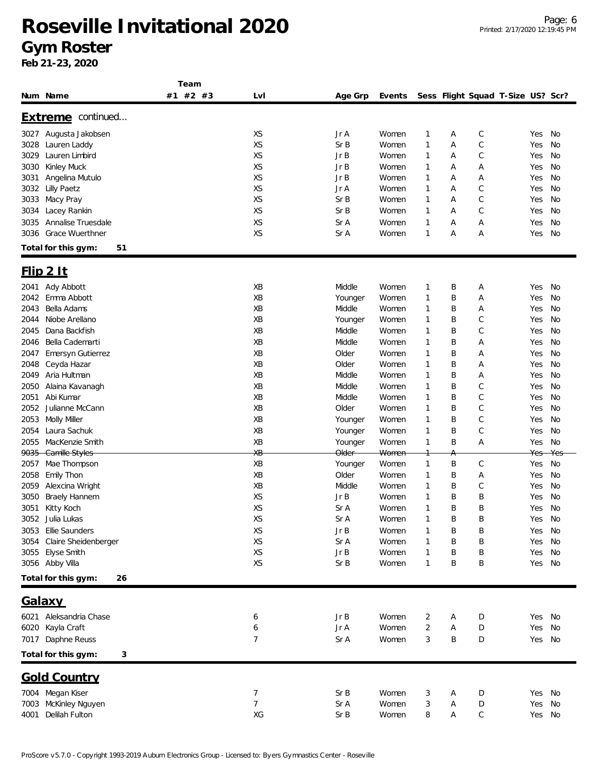**Team**

|      | Num Name                  | 1 C G I I I<br>#1 #2 #3 | LvI            | Age Grp          | Events           |              |   |   | Sess Flight Squad T-Size US? Scr? |        |     |
|------|---------------------------|-------------------------|----------------|------------------|------------------|--------------|---|---|-----------------------------------|--------|-----|
|      | Extreme continued         |                         |                |                  |                  |              |   |   |                                   |        |     |
| 3027 | Augusta Jakobsen          |                         | XS             | Jr A             | Women            | 1            | Α | C |                                   | Yes    | No  |
| 3028 | Lauren Laddy              |                         | XS             | Sr B             | Women            | 1            | Α | C |                                   | Yes    | No  |
| 3029 | Lauren Limbird            |                         | XS             | Jr B             | Women            | 1            | Α | C |                                   | Yes    | No  |
| 3030 | Kinley Muck               |                         | XS             | Jr B             | Women            | 1            | Α | Α |                                   | Yes    | No  |
| 3031 | Angelina Mutulo           |                         | XS             | Jr B             | Women            | 1            | Α | Α |                                   | Yes    | No  |
| 3032 | <b>Lilly Paetz</b>        |                         | XS             | Jr A             | Women            | 1            | Α | С |                                   | Yes    | No  |
| 3033 | Macy Pray                 |                         | XS             | SrB              | Women            | 1            | Α | C |                                   | Yes    | No  |
| 3034 | Lacey Rankin              |                         | XS             | SrB              | Women            | 1            | Α | C |                                   | Yes    | No  |
| 3035 | Annalise Truesdale        |                         | XS             | Sr A             | Women            | 1            | A | А |                                   | Yes    | No  |
| 3036 | <b>Grace Wuerthner</b>    |                         | XS             | Sr A             | Women            | 1            | Α | Α |                                   | Yes    | No  |
|      | Total for this gym:<br>51 |                         |                |                  |                  |              |   |   |                                   |        |     |
|      | $F$ lip 2 It              |                         |                |                  |                  |              |   |   |                                   |        |     |
| 2041 | Ady Abbott                |                         | XB             | Middle           | Women            | 1            | Β | Α |                                   | Yes    | No  |
| 2042 | Emma Abbott               |                         | XB             | Younger          | Women            | 1            | B | Α |                                   | Yes    | No  |
| 2043 | Bella Adams               |                         | XB             | Middle           | Women            | 1            | Β | А |                                   | Yes    | No  |
| 2044 | Niobe Arellano            |                         | XB             | Younger          | Women            | 1            | B | C |                                   | Yes    | No  |
| 2045 | Dana Backfish             |                         | XB             | Middle           | Women            | 1            | Β | C |                                   | Yes    | No  |
| 2046 | Bella Cademarti           |                         | XB             | Middle           | Women            | 1            | B | Α |                                   | Yes    | No  |
| 2047 | <b>Emersyn Gutierrez</b>  |                         | XB             | Older            | Women            | 1            | B | Α |                                   | Yes    | No  |
| 2048 | Ceyda Hazar               |                         | XB             | Older            | Women            | 1            | B | Α |                                   | Yes    | No  |
| 2049 | Aria Hultman              |                         | XB             | Middle           | Women            | 1            | B | Α |                                   | Yes    | No  |
| 2050 | Alaina Kavanagh           |                         | XB             | Middle           | Women            | 1            | B | C |                                   | Yes    | No  |
| 2051 | Abi Kumar                 |                         | XB             | Middle           | Women            | 1            | B | C |                                   | Yes    | No  |
| 2052 | Julianne McCann           |                         | XB             | Older            | Women            | 1            | Β | C |                                   | Yes    | No  |
| 2053 | Molly Miller              |                         | XB             | Younger          | Women            | 1            | B | C |                                   | Yes    | No  |
| 2054 | Laura Sachuk              |                         | XB             | Younger          | Women            | 1            | Β | C |                                   | Yes    | No  |
| 2055 | MacKenzie Smith           |                         | XB             | Younger          | Women            | 1            | B | Α |                                   | Yes    | No  |
|      | 9035 Camille Styles       |                         | ХB             | <del>Older</del> | <del>Women</del> |              | А |   |                                   | Yes    | Yes |
| 2057 | Mae Thompson              |                         | XB             | Younger          | Women            | 1            | B | С |                                   | Yes    | No  |
| 2058 | Emily Thon                |                         | XB             | Older            | Women            | 1            | B | Α |                                   | Yes    | No  |
| 2059 | Alexcina Wright           |                         | XB             | Middle           | Women            | 1            | B | C |                                   | Yes    | No  |
| 3050 | Braely Hannem             |                         | XS             | Jr B             | Women            | 1            | B | B |                                   | Yes    | No  |
| 3051 | Kitty Koch                |                         | XS             | Sr A             | Women            | 1            | B | B |                                   | Yes    | No  |
| 3052 | Julia Lukas               |                         | XS             | Sr A             | Women            | 1            | B | B |                                   | Yes    | No  |
|      | 3053 Ellie Saunders       |                         | XS             | JrB              | Women            |              | Β | B |                                   | Yes    | No  |
| 3054 | Claire Sheidenberger      |                         | XS             | Sr A             | Women            | 1            | B | B |                                   | Yes    | No  |
|      | 3055 Elyse Smith          |                         | XS             | JrB              | Women            | 1            | B | B |                                   | Yes    | No  |
|      | 3056 Abby Villa           |                         | XS             | Sr B             | Women            | $\mathbf{1}$ | B | B |                                   | Yes    | No  |
|      | Total for this gym:<br>26 |                         |                |                  |                  |              |   |   |                                   |        |     |
|      | <u>Galaxy</u>             |                         |                |                  |                  |              |   |   |                                   |        |     |
|      |                           |                         |                |                  |                  |              |   |   |                                   |        |     |
|      | 6021 Aleksandria Chase    |                         | 6              | Jr B             | Women            | 2            | Α | D |                                   | Yes    | No  |
| 6020 | Kayla Craft               |                         | 6              | Jr A             | Women            | 2            | Α | D |                                   | Yes    | No  |
|      | 7017 Daphne Reuss         |                         | 7              | Sr A             | Women            | 3            | B | D |                                   | Yes    | No  |
|      | Total for this gym:<br>3  |                         |                |                  |                  |              |   |   |                                   |        |     |
|      | <b>Gold Country</b>       |                         |                |                  |                  |              |   |   |                                   |        |     |
|      | 7004 Megan Kiser          |                         | $\overline{7}$ | Sr B             | Women            | 3            | Α | D |                                   | Yes    | No  |
| 7003 | McKinley Nguyen           |                         | 7              | Sr A             | Women            | 3            | Α | D |                                   | Yes    | No  |
| 4001 | Delilah Fulton            |                         | XG             | Sr B             | Women            | 8            | Α | С |                                   | Yes No |     |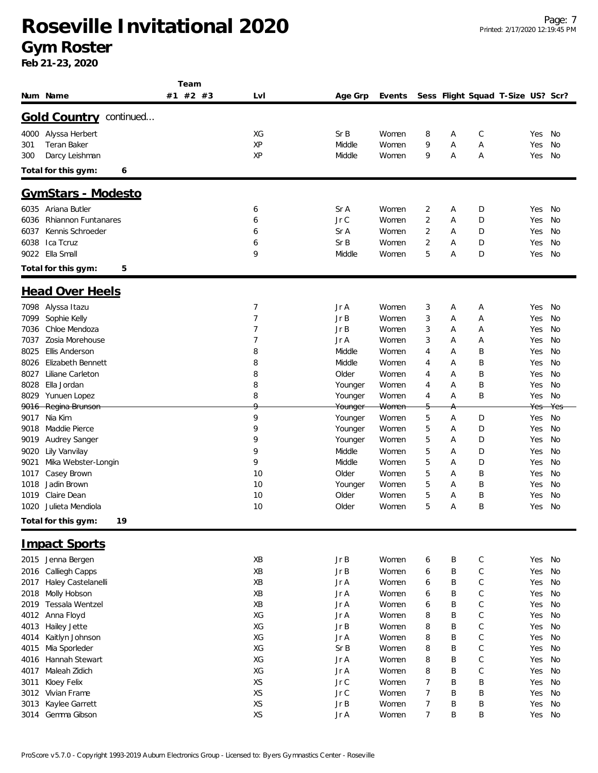### **Roseville Invitational 2020 Gym Roster**

|                                    | Team     |     |                    |        |                |   |              |                                   |        |     |
|------------------------------------|----------|-----|--------------------|--------|----------------|---|--------------|-----------------------------------|--------|-----|
| Num Name                           | #1 #2 #3 | Lvl | Age Grp            | Events |                |   |              | Sess Flight Squad T-Size US? Scr? |        |     |
| <b>Gold Country continued</b>      |          |     |                    |        |                |   |              |                                   |        |     |
| 4000<br>Alyssa Herbert             |          | XG  | SrB                | Women  | 8              | Α | C            |                                   | Yes    | No  |
| Teran Baker<br>301                 |          | XP  | Middle             | Women  | 9              | Α | Α            |                                   | Yes    | No  |
|                                    |          | XP  |                    |        | 9              |   |              |                                   |        | No  |
| Darcy Leishman<br>300              |          |     | Middle             | Women  |                | Α | Α            |                                   | Yes    |     |
| Total for this gym:<br>6           |          |     |                    |        |                |   |              |                                   |        |     |
| <u> GymStars - Modesto</u>         |          |     |                    |        |                |   |              |                                   |        |     |
| 6035 Ariana Butler                 |          | 6   | Sr A               | Women  | 2              | Α | D            |                                   | Yes    | No  |
| 6036<br><b>Rhiannon Funtanares</b> |          | 6   | Jr C               | Women  | 2              | Α | D            |                                   | Yes    | No  |
| 6037<br>Kennis Schroeder           |          | 6   | Sr A               | Women  | 2              | Α | D            |                                   | Yes    | No  |
| 6038<br>Ica Tcruz                  |          | 6   | SrB                | Women  | 2              | Α | D            |                                   | Yes    | No  |
| 9022 Ella Small                    |          | 9   | Middle             | Women  | 5              | Α | D            |                                   | Yes    | No  |
| Total for this gym:<br>5           |          |     |                    |        |                |   |              |                                   |        |     |
| <u> Head Over Heels</u>            |          |     |                    |        |                |   |              |                                   |        |     |
|                                    |          |     |                    |        |                |   |              |                                   |        |     |
| 7098 Alyssa Itazu                  |          | 7   | Jr A               | Women  | 3              | Α | Α            |                                   | Yes    | No  |
| Sophie Kelly<br>7099               |          | 7   | Jr B               | Women  | 3              | Α | Α            |                                   | Yes    | No  |
| Chloe Mendoza<br>7036              |          | 7   | Jr B               | Women  | 3              | A | Α            |                                   | Yes    | No  |
| Zosia Morehouse<br>7037            |          | 7   | Jr A               | Women  | 3              | Α | Α            |                                   | Yes    | No  |
| 8025<br><b>Ellis Anderson</b>      |          | 8   | Middle             | Women  | 4              | Α | Β            |                                   | Yes    | No  |
| 8026<br><b>Elizabeth Bennett</b>   |          | 8   | Middle             | Women  | 4              | Α | Β            |                                   | Yes    | No  |
| Liliane Carleton<br>8027           |          | 8   | Older              | Women  | 4              | Α | B            |                                   | Yes    | No  |
| 8028<br>Ella Jordan                |          | 8   | Younger            | Women  | 4              | Α | Β            |                                   | Yes    | No  |
| 8029 Yunuen Lopez                  |          | 8   | Younger            | Women  | 4              | Α | B            |                                   | Yes    | No  |
| 9016 Regina Brunson                |          | Ω   | <del>Younger</del> | Women  |                | Α |              |                                   | Yes    | Yes |
| Nia Kim<br>9017                    |          | 9   | Younger            | Women  | 5              | Α | D            |                                   | Yes    | No  |
| 9018 Maddie Pierce                 |          | 9   | Younger            | Women  | 5              | A | D            |                                   | Yes    | No  |
| Audrey Sanger<br>9019              |          | 9   | Younger            | Women  | 5              | Α | D            |                                   | Yes    | No  |
| 9020<br>Lily Vanvilay              |          | 9   | Middle             | Women  | 5              | Α | D            |                                   | Yes    | No  |
| 9021<br>Mika Webster-Longin        |          | 9   | Middle             | Women  | 5              | Α | D            |                                   | Yes    | No  |
| Casey Brown<br>1017                |          | 10  | Older              | Women  | 5              | Α | Β            |                                   | Yes    | No  |
| 1018<br>Jadin Brown                |          | 10  | Younger            | Women  | 5              | Α | Β            |                                   | Yes    | No  |
| Claire Dean<br>1019                |          | 10  | Older              | Women  | 5              | Α | Β            |                                   | Yes    | No  |
| 1020 Julieta Mendiola              |          | 10  | Older              | Women  | 5              | Α | B            |                                   | Yes    | No  |
| Total for this gym:<br>19          |          |     |                    |        |                |   |              |                                   |        |     |
| <b>Impact Sports</b>               |          |     |                    |        |                |   |              |                                   |        |     |
| 2015 Jenna Bergen                  |          | XB  | Jr B               | Women  | 6              | Β | $\mathsf C$  |                                   | Yes    | No  |
|                                    |          |     |                    |        |                |   |              |                                   |        |     |
| Calliegh Capps<br>2016             |          | XB  | Jr B               | Women  | 6              | B | $\mathsf C$  |                                   | Yes    | No  |
| Haley Castelanelli<br>2017         |          | XB  | Jr A               | Women  | 6              | Β | C            |                                   | Yes    | No  |
| 2018<br>Molly Hobson               |          | XB  | Jr A               | Women  | 6              | B | C            |                                   | Yes    | No  |
| Tessala Wentzel<br>2019            |          | XB  | Jr A               | Women  | 6              | B | C            |                                   | Yes    | No  |
| Anna Floyd<br>4012                 |          | XG  | Jr A               | Women  | 8              | B | $\mathsf{C}$ |                                   | Yes    | No  |
| 4013<br>Hailey Jette               |          | XG  | Jr B               | Women  | 8              | B | C            |                                   | Yes    | No  |
| 4014<br>Kaitlyn Johnson            |          | XG  | Jr A               | Women  | 8              | B | $\mathsf{C}$ |                                   | Yes    | No  |
| 4015<br>Mia Sporleder              |          | XG  | Sr B               | Women  | 8              | B | $\mathsf C$  |                                   | Yes    | No  |
| Hannah Stewart<br>4016             |          | XG  | Jr A               | Women  | 8              | B | $\mathsf{C}$ |                                   | Yes    | No  |
| Maleah Zidich<br>4017              |          | XG  | Jr A               | Women  | 8              | B | C            |                                   | Yes    | No  |
| Kloey Felix<br>3011                |          | XS  | Jr C               | Women  | 7              | Β | Β            |                                   | Yes    | No  |
| 3012 Vivian Frame                  |          | XS  | Jr C               | Women  | 7              | B | B            |                                   | Yes    | No  |
| Kaylee Garrett<br>3013             |          | XS  | Jr B               | Women  | 7              | Β | Β            |                                   | Yes    | No  |
| 3014 Gemma Gibson                  |          | XS  | Jr A               | Women  | $\overline{7}$ | B | B            |                                   | Yes No |     |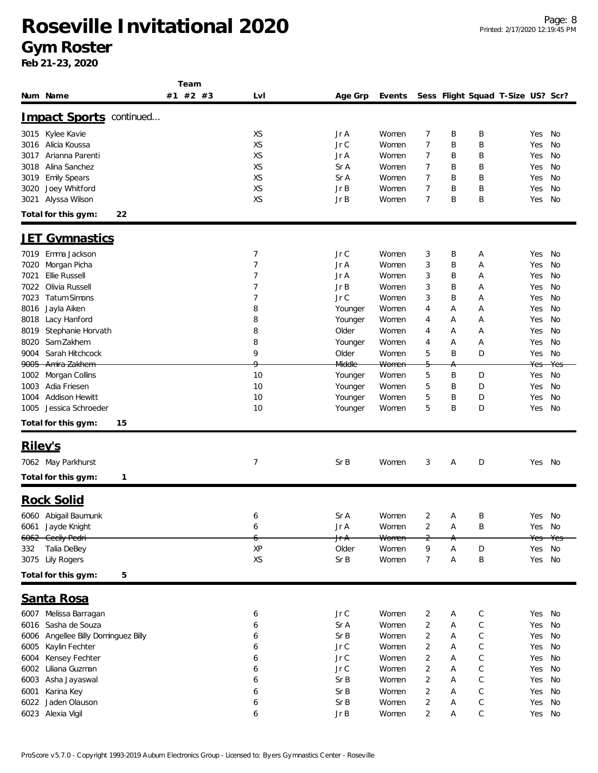#### **Gym Roster**

|                                        | Team     |                |                  |                  |                |   |              |                                   |        |      |
|----------------------------------------|----------|----------------|------------------|------------------|----------------|---|--------------|-----------------------------------|--------|------|
| Num Name                               | #1 #2 #3 | LvI            | Age Grp          | Events           |                |   |              | Sess Flight Squad T-Size US? Scr? |        |      |
| Impact Sports continued                |          |                |                  |                  |                |   |              |                                   |        |      |
| 3015 Kylee Kavie                       |          | XS             | Jr A             | Women            | 7              | Β | B            |                                   | Yes    | No   |
| Alicia Koussa<br>3016                  |          | XS             | Jr C             | Women            | 7              | B | B            |                                   | Yes    | No   |
| Arianna Parenti<br>3017                |          | XS             | Jr A             | Women            | 7              | Β | Β            |                                   | Yes    | No   |
| Alina Sanchez<br>3018                  |          | XS             | Sr A             | Women            | 7              | B | Β            |                                   | Yes    | No   |
| Emily Spears<br>3019                   |          | XS             | Sr A             | Women            | 7              | Β | Β            |                                   | Yes    | No   |
|                                        |          | XS             | Jr B             | Women            | 7              | B | Β            |                                   |        |      |
| Joey Whitford<br>3020                  |          |                |                  |                  |                |   |              |                                   | Yes    | No   |
| Alyssa Wilson<br>3021                  |          | XS             | Jr B             | Women            | 7              | B | Β            |                                   | Yes    | No   |
| Total for this gym:<br>22              |          |                |                  |                  |                |   |              |                                   |        |      |
| <u>Gymnastics</u><br><u>JE I</u>       |          |                |                  |                  |                |   |              |                                   |        |      |
| Emma Jackson<br>7019                   |          | 7              | Jr C             | Women            | 3              | Β | A            |                                   | Yes    | No   |
| Morgan Picha<br>7020                   |          | 7              | Jr A             | Women            | 3              | B | Α            |                                   | Yes    | No   |
| Ellie Russell<br>7021                  |          | 7              | Jr A             | Women            | 3              | Β | Α            |                                   | Yes    | No   |
| Olivia Russell<br>7022                 |          | 7              | Jr B             | Women            | 3              | Β | A            |                                   | Yes    | No   |
| <b>Tatum Simons</b><br>7023            |          | $\overline{7}$ | Jr C             | Women            | 3              | B | Α            |                                   | Yes    | No   |
| Jayla Aiken<br>8016                    |          | 8              | Younger          | Women            | 4              | Α | Α            |                                   | Yes    | No   |
| 8018<br>Lacy Hanford                   |          | 8              | Younger          | Women            | 4              | Α | Α            |                                   | Yes    | No   |
| 8019<br>Stephanie Horvath              |          | 8              | Older            | Women            |                | Α |              |                                   | Yes    | No   |
|                                        |          |                |                  |                  | 4              |   | A            |                                   |        |      |
| Sam Zakhem<br>8020                     |          | 8              | Younger          | Women            | 4              | Α | A            |                                   | Yes    | No   |
| Sarah Hitchcock<br>9004                |          | 9<br>Q         | Older            | Women            | 5              | B | D            |                                   | Yes    | No   |
| 9005 Amira Zakhem                      |          |                | Middle           | <del>Women</del> |                | Α |              |                                   | Yes    | Yes  |
| Morgan Collins<br>1002                 |          | 10             | Younger          | Women            | 5              | Β | D            |                                   | Yes    | No   |
| Adia Friesen<br>1003                   |          | 10             | Younger          | Women            | 5              | Β | D            |                                   | Yes    | No   |
| <b>Addison Hewitt</b><br>1004          |          | 10             | Younger          | Women            | 5              | Β | D            |                                   | Yes    | No   |
| Jessica Schroeder<br>1005              |          | 10             | Younger          | Women            | 5              | Β | D            |                                   | Yes    | No   |
| 15<br>Total for this gym:              |          |                |                  |                  |                |   |              |                                   |        |      |
| Riley's                                |          |                |                  |                  |                |   |              |                                   |        |      |
| 7062 May Parkhurst                     |          | 7              | Sr B             | Women            | 3              | Α | D            |                                   | Yes No |      |
| Total for this gym:<br>1               |          |                |                  |                  |                |   |              |                                   |        |      |
|                                        |          |                |                  |                  |                |   |              |                                   |        |      |
| <b>Rock Solid</b>                      |          |                |                  |                  |                |   |              |                                   |        |      |
| 6060 Abigail Baumunk                   |          | 6              | Sr A             | Women            | 2              | Α | B            |                                   | Yes    | - No |
| 6061 Jayde Knight                      |          | 6              | Jr A             | Women            | 2              | А | B            |                                   | Yes No |      |
| 6062 Cecily Pedri                      |          |                | J <del>r A</del> | Women            | $\overline{c}$ | Α |              |                                   |        |      |
| 332<br>Talia DeBey                     |          | χp             | Older            | Women            | 9              | Α | D            |                                   | Yes    | No   |
| 3075 Lily Rogers                       |          | XS             | Sr B             | Women            | 7              | А | Β            |                                   | Yes    | No   |
| Total for this gym:<br>5               |          |                |                  |                  |                |   |              |                                   |        |      |
| Santa Rosa                             |          |                |                  |                  |                |   |              |                                   |        |      |
| 6007 Melissa Barragan                  |          | 6              | Jr C             | Women            | 2              | Α | $\mathsf{C}$ |                                   | Yes    | No   |
| 6016 Sasha de Souza                    |          | 6              | Sr A             | Women            | 2              | Α | $\mathsf C$  |                                   | Yes    | No   |
|                                        |          |                | Sr B             | Women            | 2              | Α | $\mathsf C$  |                                   |        | No   |
| Angellee Billy Dominguez Billy<br>6006 |          | 6              |                  |                  |                |   |              |                                   | Yes    |      |
| 6005<br>Kaylin Fechter                 |          | 6              | Jr C             | Women            | 2              | Α | $\mathsf C$  |                                   | Yes    | No   |
| Kensey Fechter<br>6004                 |          | 6              | Jr C             | Women            | 2              | Α | $\mathsf C$  |                                   | Yes    | No   |
| 6002<br>Liliana Guzman                 |          | 6              | Jr C             | Women            | 2              | Α | $\mathsf C$  |                                   | Yes    | No   |
| Asha Jayaswal<br>6003                  |          | 6              | Sr B             | Women            | 2              | Α | $\mathsf C$  |                                   | Yes    | No   |
| Karina Key<br>6001                     |          | 6              | Sr B             | Women            | $\overline{2}$ | Α | $\mathsf C$  |                                   | Yes    | No   |
| Jaden Olauson<br>6022                  |          | 6              | Sr B             | Women            | 2              | А | $\mathsf C$  |                                   | Yes    | No   |
| 6023 Alexia Vigil                      |          | 6              | Jr B             | Women            | 2              | Α | $\mathsf C$  |                                   | Yes No |      |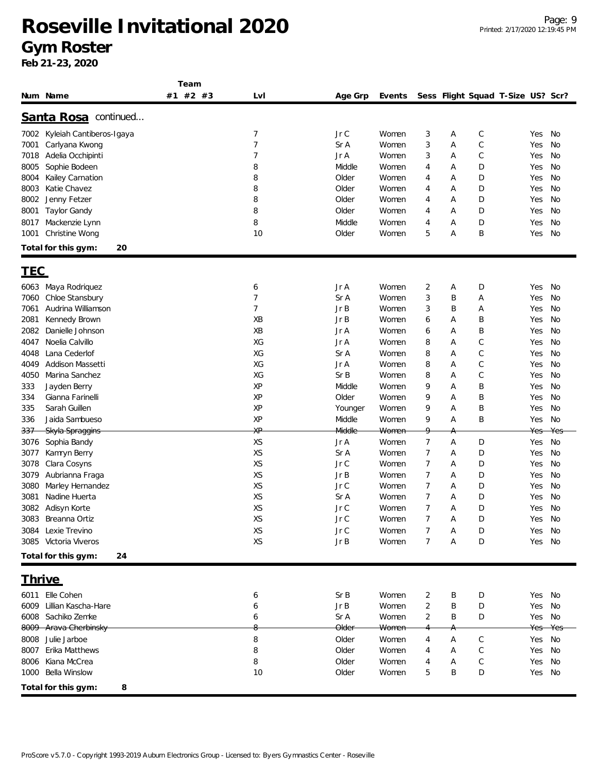|               |                          | Team     |     |                  |        |                |   |              |                                   |     |     |
|---------------|--------------------------|----------|-----|------------------|--------|----------------|---|--------------|-----------------------------------|-----|-----|
| Num Name      |                          | #1 #2 #3 | Lvl | Age Grp          | Events |                |   |              | Sess Flight Squad T-Size US? Scr? |     |     |
|               |                          |          |     |                  |        |                |   |              |                                   |     |     |
|               | Santa Rosa continued     |          |     |                  |        |                |   |              |                                   |     |     |
| 7002          | Kyleiah Cantiberos-Igaya |          | 7   | Jr C             | Women  | 3              | Α | $\mathsf C$  |                                   | Yes | No  |
| 7001          | Carlyana Kwong           |          | 7   | Sr A             | Women  | 3              | Α | $\mathsf C$  |                                   | Yes | No  |
| 7018          | Adelia Occhipinti        |          | 7   | Jr A             | Women  | 3              | Α | $\mathsf{C}$ |                                   | Yes | No  |
| 8005          | Sophie Bodeen            |          | 8   | Middle           | Women  | 4              | Α | D            |                                   | Yes | No  |
| 8004          | Kailey Carnation         |          | 8   | Older            | Women  | 4              | Α | D            |                                   | Yes | No  |
| 8003          | Katie Chavez             |          | 8   | Older            | Women  | 4              | Α | D            |                                   | Yes | No  |
| 8002          | Jenny Fetzer             |          | 8   | Older            | Women  | 4              | Α | D            |                                   | Yes | No  |
| 8001          | Taylor Gandy             |          | 8   | Older            | Women  | 4              | Α | D            |                                   | Yes | No  |
| 8017          | Mackenzie Lynn           |          | 8   | Middle           | Women  | 4              | Α | D            |                                   | Yes | No  |
| 1001          | Christine Wong           |          | 10  | Older            | Women  | 5              | Α | B            |                                   | Yes | No  |
|               | Total for this gym:      | 20       |     |                  |        |                |   |              |                                   |     |     |
| <u>TEC</u>    |                          |          |     |                  |        |                |   |              |                                   |     |     |
| 6063          | Maya Rodriquez           |          | 6   | Jr A             | Women  | 2              | Α | D            |                                   | Yes | No  |
| 7060          | Chloe Stansbury          |          | 7   | Sr A             | Women  | 3              | Β | Α            |                                   | Yes | No  |
| 7061          | Audrina Williamson       |          | 7   | Jr B             | Women  | 3              | Β | Α            |                                   | Yes | No  |
| 2081          | Kennedy Brown            |          | XB  | Jr B             | Women  | 6              | Α | B            |                                   | Yes | No  |
| 2082          | Danielle Johnson         |          | XB  | Jr A             | Women  | 6              | Α | Β            |                                   | Yes | No  |
| 4047          | Noelia Calvillo          |          | XG  | Jr A             | Women  | 8              | Α | C            |                                   | Yes | No  |
| 4048          | Lana Cederlof            |          | XG  | Sr A             | Women  | 8              | Α | $\mathsf{C}$ |                                   | Yes | No  |
| 4049          | Addison Massetti         |          | XG  | Jr A             | Women  | 8              | Α | $\mathsf C$  |                                   | Yes | No  |
| 4050          | Marina Sanchez           |          | XG  | Sr B             | Women  | 8              | Α | $\mathsf{C}$ |                                   | Yes | No  |
| 333           | Jayden Berry             |          | XP  | Middle           | Women  | 9              | Α | Β            |                                   | Yes | No  |
| 334           | Gianna Farinelli         |          | XP  | Older            | Women  | 9              | Α | B            |                                   | Yes | No  |
| 335           | Sarah Guillen            |          | XP  | Younger          | Women  | 9              | A | Β            |                                   | Yes | No  |
| 336           | Jaida Sambueso           |          | XP  | Middle           | Women  | 9              | Α | B            |                                   | Yes | No  |
| 337           | Skyla Spraggins          |          | ХP  | Middle           | Women  | 9.             | А |              |                                   | Yes | Ye: |
| 3076          | Sophia Bandy             |          | XS  | Jr A             | Women  | 7              | Α | D            |                                   | Yes | No  |
| 3077          | Kamryn Berry             |          | XS  | Sr A             | Women  | 7              | Α | D            |                                   | Yes | No  |
| 3078          | Clara Cosyns             |          | XS  | Jr C             | Women  | 7              | Α | D            |                                   | Yes | No  |
| 3079          | Aubrianna Fraga          |          | XS  | Jr B             | Women  | 7              | Α | D            |                                   | Yes | No  |
| 3080          | Marley Hernandez         |          | XS  | Jr C             | Women  | 7              | Α | D            |                                   | Yes | No  |
| 3081          | Nadine Huerta            |          | XS  | Sr A             | Women  | 7              | Α | D            |                                   | Yes | No  |
| 3082          | Adisyn Korte             |          | XS  | Jr C             | Women  | $\overline{7}$ | Α | D            |                                   | Yes | No  |
| 3083          | Breanna Ortiz            |          | XS  | Jr C             | Women  |                | Α | D            |                                   | Yes | No  |
| 3084          | Lexie Trevino            |          | XS  | Jr C             | Women  |                | A | D            |                                   | Yes | No  |
|               | 3085 Victoria Viveros    |          | XS  | Jr B             | Women  | 7              | Α | D            |                                   | Yes | No  |
|               | Total for this gym:      | 24       |     |                  |        |                |   |              |                                   |     |     |
|               |                          |          |     |                  |        |                |   |              |                                   |     |     |
| <u>Thrive</u> |                          |          |     |                  |        |                |   |              |                                   |     |     |
| 6011          | Elle Cohen               |          | 6   | Sr B             | Women  | 2              | B | D            |                                   | Yes | No  |
| 6009          | Lillian Kascha-Hare      |          | 6   | JrB              | Women  | $\overline{2}$ | Β | D            |                                   | Yes | No  |
|               | 6008 Sachiko Zemke       |          | 6   | Sr A             | Women  | 2              | Β | D            |                                   | Yes | No  |
|               | 8009 Arava Cherbinsky    |          |     | <del>Older</del> | Women  |                | Α |              |                                   | Yes | Yes |
|               | 8008 Julie Jarboe        |          | 8   | Older            | Women  | 4              | Α | C            |                                   | Yes | No  |
| 8007          | Erika Matthews           |          | 8   | Older            | Women  | 4              | Α | $\mathsf C$  |                                   | Yes | No  |
| 8006          | Kiana McCrea             |          | 8   | Older            | Women  | 4              | Α | C            |                                   | Yes | No  |
| 1000          | Bella Winslow            |          | 10  | Older            | Women  | 5              | Β | D            |                                   | Yes | No  |
|               | Total for this gym:      | 8        |     |                  |        |                |   |              |                                   |     |     |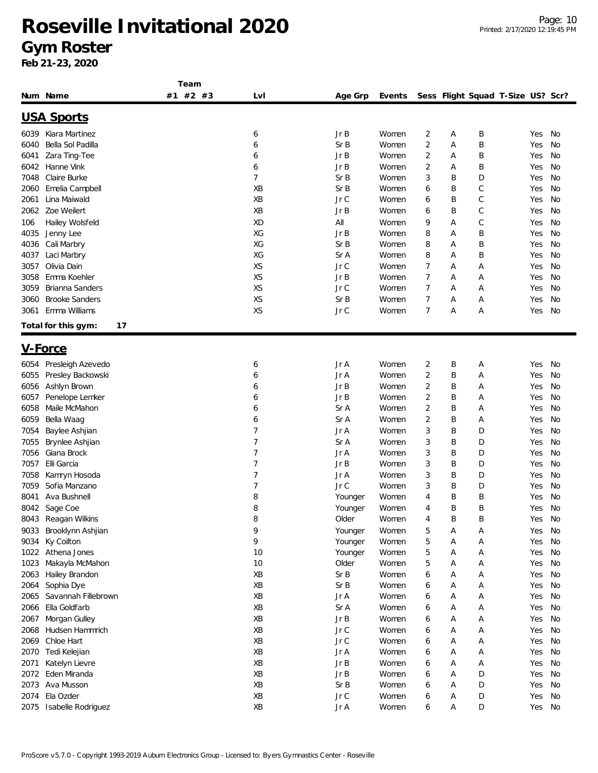#### **Gym Roster**

|      |                           | Team     |                |         |        |   |   |   |                                   |    |
|------|---------------------------|----------|----------------|---------|--------|---|---|---|-----------------------------------|----|
|      | Num Name                  | #1 #2 #3 | Lvl            | Age Grp | Events |   |   |   | Sess Flight Squad T-Size US? Scr? |    |
|      | <u>USA Sports</u>         |          |                |         |        |   |   |   |                                   |    |
| 6039 | Kiara Martinez            |          | 6              | Jr B    | Women  | 2 | Α | Β | Yes                               | No |
| 6040 | Bella Sol Padilla         |          | 6              | Sr B    | Women  | 2 | Α | B | Yes                               | No |
| 6041 | Zara Ting-Tee             |          | 6              | Jr B    | Women  | 2 | Α | Β | Yes                               | No |
| 6042 | Hanne Vink                |          | 6              | Jr B    | Women  | 2 | Α | Β | Yes                               | No |
| 7048 | Claire Burke              |          | $\overline{7}$ | Sr B    | Women  | 3 | Β | D | Yes                               | No |
| 2060 | Emelia Campbell           |          | XB             | Sr B    | Women  | 6 | Β | C | Yes                               | No |
|      | Lina Maiwald              |          | XB             | Jr C    | Women  |   | Β |   |                                   | No |
| 2061 |                           |          |                |         |        | 6 |   | С | Yes                               |    |
| 2062 | Zoe Weilert               |          | XB             | Jr B    | Women  | 6 | Β | C | Yes                               | No |
| 106  | Hailey Wolsfeld           |          | XD             | All     | Women  | 9 | Α | С | Yes                               | No |
| 4035 | Jenny Lee                 |          | XG             | Jr B    | Women  | 8 | Α | Β | Yes                               | No |
| 4036 | Cali Marbry               |          | XG             | Sr B    | Women  | 8 | Α | B | Yes                               | No |
| 4037 | Laci Marbry               |          | XG             | Sr A    | Women  | 8 | Α | Β | Yes                               | No |
| 3057 | Olivia Dain               |          | XS             | Jr C    | Women  | 7 | Α | Α | Yes                               | No |
| 3058 | Emma Koehler              |          | XS             | JrB     | Women  | 7 | Α | Α | Yes                               | No |
| 3059 | Brianna Sanders           |          | XS             | Jr C    | Women  | 7 | Α | Α | Yes                               | No |
| 3060 | <b>Brooke Sanders</b>     |          | XS             | Sr B    | Women  | 7 | Α | Α | Yes                               | No |
| 3061 | Emma Williams             |          | XS             | Jr C    | Women  | 7 | Α | Α | Yes                               | No |
|      | 17<br>Total for this gym: |          |                |         |        |   |   |   |                                   |    |
|      | <u>V-Force</u>            |          |                |         |        |   |   |   |                                   |    |
| 6054 | Presleigh Azevedo         |          | 6              | Jr A    | Women  | 2 | B | Α | Yes                               | No |
| 6055 | Presley Backowski         |          | 6              | Jr A    | Women  | 2 | B | Α | Yes                               | No |
| 6056 | Ashlyn Brown              |          | 6              | Jr B    | Women  | 2 | Β | Α | Yes                               | No |
| 6057 | Penelope Lemker           |          | 6              | JrB     | Women  | 2 | Β | Α | Yes                               | No |
| 6058 | Maile McMahon             |          | 6              | Sr A    | Women  | 2 | Β | Α | Yes                               | No |
| 6059 | Bella Waag                |          | 6              | Sr A    | Women  | 2 | Β | Α | Yes                               | No |
|      |                           |          |                |         |        |   |   |   |                                   |    |
| 7054 | Baylee Ashjian            |          | 7              | $JrA$   | Women  | 3 | Β | D | Yes                               | No |
| 7055 | Brynlee Ashjian           |          | 7              | Sr A    | Women  | 3 | Β | D | Yes                               | No |
| 7056 | Giana Brock               |          | 7              | Jr A    | Women  | 3 | Β | D | Yes                               | No |
| 7057 | Elli Garcia               |          | 7              | Jr B    | Women  | 3 | Β | D | Yes                               | No |
| 7058 | Kamryn Hosoda             |          | 7              | Jr A    | Women  | 3 | Β | D | Yes                               | No |
| 7059 | Sofia Manzano             |          | 7              | Jr C    | Women  | 3 | Β | D | Yes                               | No |
| 8041 | Ava Bushnell              |          | 8              | Younger | Women  | 4 | Β | Β | Yes                               | No |
|      | 8042 Sage Coe             |          | 8              | Younger | Women  | 4 | Β | B | Yes                               | No |
| 8043 | Reagan Wilkins            |          | 8              | Older   | Women  | 4 | Β | Β | Yes                               | No |
| 9033 | Brooklynn Ashjian         |          | 9              | Younger | Women  | 5 | Α | Α | Yes                               | No |
| 9034 | Ky Coilton                |          | 9              | Younger | Women  | 5 | Α | Α | Yes                               | No |
| 1022 | Athena Jones              |          | 10             | Younger | Women  | 5 | Α | Α | Yes                               | No |
| 1023 | Makayla McMahon           |          | 10             | Older   | Women  | 5 | Α | Α | Yes                               | No |
| 2063 | Hailey Brandon            |          | XB             | Sr B    | Women  | 6 | Α | Α | Yes                               | No |
| 2064 | Sophia Dye                |          | XB             | Sr B    | Women  | 6 | Α | Α | Yes                               | No |
| 2065 | Savannah Fillebrown       |          | XB             | Jr A    | Women  | 6 | Α | Α | Yes                               | No |
| 2066 | Ella Goldfarb             |          | XB             | Sr A    | Women  | 6 | Α | Α | Yes                               | No |
| 2067 | Morgan Gulley             |          | XB             | Jr B    | Women  | 6 | Α | Α | Yes                               | No |
| 2068 | Hudsen Hammrich           |          | XB             | $JrC$   | Women  | 6 | Α | Α | Yes                               | No |
| 2069 | Chloe Hart                |          | XB             | $JrC$   | Women  | 6 | Α | Α | Yes                               | No |
| 2070 | Tedi Kelejian             |          | XB             | Jr A    | Women  | 6 | Α | Α | Yes                               | No |
| 2071 | Katelyn Lievre            |          | XB             | Jr B    | Women  | 6 | Α | Α | Yes                               | No |
| 2072 | Eden Miranda              |          | XB             | JrB     | Women  | 6 | Α | D | Yes                               | No |
| 2073 | Ava Musson                |          | XB             | Sr B    | Women  | 6 | Α | D | Yes                               | No |
| 2074 | Ela Ozder                 |          | XB             | $JrC$   | Women  | 6 | Α | D | Yes                               | No |
| 2075 | Isabelle Rodriguez        |          | XB             | Jr A    | Women  | 6 | Α | D | Yes                               | No |
|      |                           |          |                |         |        |   |   |   |                                   |    |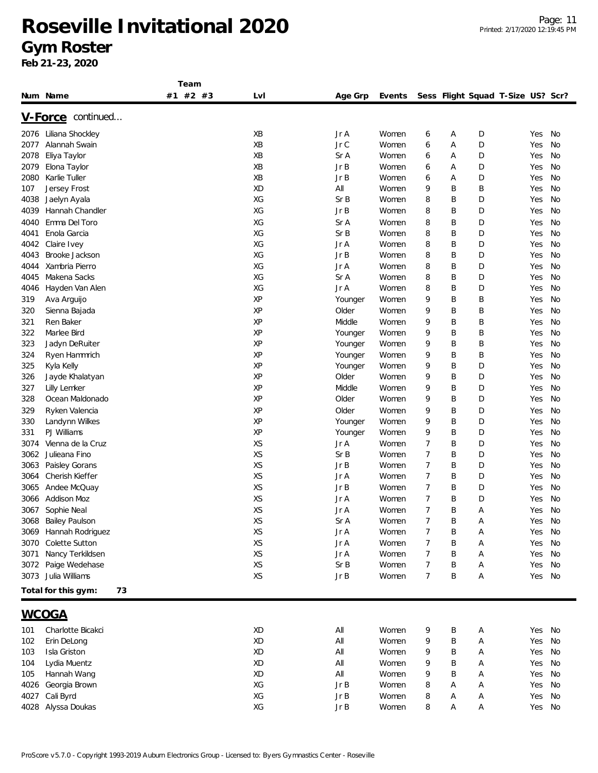|      |                           | Team     |     |         |        |                |   |                                   |     |    |
|------|---------------------------|----------|-----|---------|--------|----------------|---|-----------------------------------|-----|----|
|      | Num Name                  | #1 #2 #3 | LvI | Age Grp | Events |                |   | Sess Flight Squad T-Size US? Scr? |     |    |
|      | V-Force continued         |          |     |         |        |                |   |                                   |     |    |
|      |                           |          |     |         |        |                |   |                                   |     |    |
| 2076 | Liliana Shockley          |          | ХB  | Jr A    | Women  | 6              | Α | D                                 | Yes | No |
| 2077 | Alannah Swain             |          | XB  | Jr C    | Women  | 6              | Α | D                                 | Yes | No |
| 2078 | Eliya Taylor              |          | XB  | Sr A    | Women  | 6              | Α | D                                 | Yes | No |
| 2079 | Elona Taylor              |          | XB  | Jr B    | Women  | 6              | Α | D                                 | Yes | No |
| 2080 | Karlie Tuller             |          | ΧB  | Jr B    | Women  | 6              | Α | D                                 | Yes | No |
| 107  | Jersey Frost              |          | XD  | All     | Women  | 9              | B | Β                                 | Yes | No |
| 4038 | Jaelyn Ayala              |          | XG  | SrB     | Women  | 8              | B | D                                 | Yes | No |
| 4039 | Hannah Chandler           |          | XG  | Jr B    | Women  | 8              | B | D                                 | Yes | No |
| 4040 | Emma Del Toro             |          | XG  | Sr A    | Women  | 8              | B | D                                 | Yes | No |
| 4041 | Enola Garcia              |          | XG  | Sr B    | Women  | 8              | B | D                                 | Yes | No |
| 4042 | Claire Ivey               |          | XG  | Jr A    | Women  | 8              | B | D                                 | Yes | No |
| 4043 | Brooke Jackson            |          | XG  | Jr B    | Women  | 8              | B | D                                 | Yes | No |
| 4044 | Xambria Pierro            |          | XG  | Jr A    | Women  | 8              | B | D                                 | Yes | No |
| 4045 | Makena Sacks              |          | XG  | Sr A    | Women  | 8              | B | D                                 | Yes | No |
| 4046 | Hayden Van Alen           |          | XG  | Jr A    | Women  | 8              | B | D                                 | Yes | No |
| 319  | Ava Arguijo               |          | XP  | Younger | Women  | 9              | B | Β                                 | Yes | No |
| 320  | Sienna Bajada             |          | XP  | Older   | Women  | 9              | B | Β                                 | Yes | No |
| 321  | Ren Baker                 |          | XP  | Middle  | Women  | 9              | B | Β                                 | Yes | No |
| 322  | Marlee Bird               |          | ΧP  | Younger | Women  | 9              | B | Β                                 | Yes | No |
| 323  | Jadyn DeRuiter            |          | XP  | Younger | Women  | 9              | B | Β                                 | Yes | No |
| 324  | Ryen Hammrich             |          | XP  | Younger | Women  | 9              | B | Β                                 | Yes | No |
| 325  |                           |          | XP  |         | Women  | 9              | B | D                                 | Yes | No |
|      | Kyla Kelly                |          | XP  | Younger |        |                |   |                                   |     |    |
| 326  | Jayde Khalatyan           |          |     | Older   | Women  | 9              | B | D                                 | Yes | No |
| 327  | Lilly Lemker              |          | XP  | Middle  | Women  | 9              | B | D                                 | Yes | No |
| 328  | Ocean Maldonado           |          | XP  | Older   | Women  | 9              | B | D                                 | Yes | No |
| 329  | Ryken Valencia            |          | ΧP  | Older   | Women  | 9              | B | D                                 | Yes | No |
| 330  | Landynn Wilkes            |          | ΧP  | Younger | Women  | 9              | B | D                                 | Yes | No |
| 331  | PJ Williams               |          | ΧP  | Younger | Women  | 9              | B | D                                 | Yes | No |
| 3074 | Vienna de la Cruz         |          | XS  | Jr A    | Women  | 7              | B | D                                 | Yes | No |
| 3062 | Julieana Fino             |          | XS  | Sr B    | Women  | 7              | B | D                                 | Yes | No |
| 3063 | Paisley Gorans            |          | XS  | Jr B    | Women  | 7              | B | D                                 | Yes | No |
| 3064 | Cherish Kieffer           |          | XS  | Jr A    | Women  | 7              | B | D                                 | Yes | No |
| 3065 | Andee McQuay              |          | XS  | Jr B    | Women  | 7              | Β | D                                 | Yes | No |
| 3066 | Addison Moz               |          | XS  | Jr A    | Women  | 7              | B | D                                 | Yes | No |
|      | 3067 Sophie Neal          |          | XS  | Jr A    | Women  | $\overline{7}$ | B | Α                                 | Yes | No |
| 3068 | Bailey Paulson            |          | XS  | Sr A    | Women  |                | B | A                                 | Yes | No |
| 3069 | Hannah Rodriguez          |          | XS  | Jr A    | Women  | 7              | Β | Α                                 | Yes | No |
| 3070 | Colette Sutton            |          | XS  | Jr A    | Women  | 7              | B | Α                                 | Yes | No |
| 3071 | Nancy Terkildsen          |          | XS  | Jr A    | Women  | 7              | B | Α                                 | Yes | No |
| 3072 | Paige Wedehase            |          | XS  | Sr B    | Women  | 7              | B | Α                                 | Yes | No |
| 3073 | Julia Williams            |          | XS  | JrB     | Women  | 7              | Β | Α                                 | Yes | No |
|      |                           |          |     |         |        |                |   |                                   |     |    |
|      | Total for this gym:<br>73 |          |     |         |        |                |   |                                   |     |    |
|      | <b>WCOGA</b>              |          |     |         |        |                |   |                                   |     |    |
| 101  | Charlotte Bicakci         |          | XD  | All     | Women  | 9              | Β | Α                                 | Yes | No |
| 102  | Erin DeLong               |          | XD  | All     | Women  | 9              | B | Α                                 | Yes | No |
| 103  | Isla Griston              |          | XD  | All     | Women  | 9              | Β | Α                                 | Yes | No |
| 104  | Lydia Muentz              |          | XD  | All     | Women  | 9              | B | Α                                 | Yes | No |
|      |                           |          |     |         |        |                |   |                                   |     |    |
| 105  | Hannah Wang               |          | XD  | All     | Women  | 9              | Β | Α                                 | Yes | No |
| 4026 | Georgia Brown             |          | XG  | Jr B    | Women  | 8              | Α | A                                 | Yes | No |
| 4027 | Cali Byrd                 |          | XG  | JrB     | Women  | 8              | А | Α                                 | Yes | No |
|      | 4028 Alyssa Doukas        |          | XG  | Jr B    | Women  | 8              | Α | Α                                 | Yes | No |